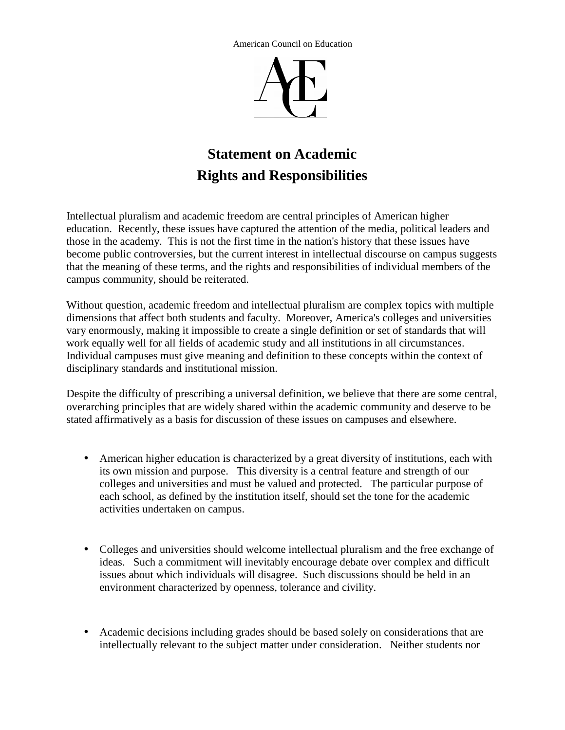American Council on Education



## **Statement on Academic Rights and Responsibilities**

Intellectual pluralism and academic freedom are central principles of American higher education. Recently, these issues have captured the attention of the media, political leaders and those in the academy. This is not the first time in the nation's history that these issues have become public controversies, but the current interest in intellectual discourse on campus suggests that the meaning of these terms, and the rights and responsibilities of individual members of the campus community, should be reiterated.

Without question, academic freedom and intellectual pluralism are complex topics with multiple dimensions that affect both students and faculty. Moreover, America's colleges and universities vary enormously, making it impossible to create a single definition or set of standards that will work equally well for all fields of academic study and all institutions in all circumstances. Individual campuses must give meaning and definition to these concepts within the context of disciplinary standards and institutional mission.

 stated affirmatively as a basis for discussion of these issues on campuses and elsewhere. Despite the difficulty of prescribing a universal definition, we believe that there are some central, overarching principles that are widely shared within the academic community and deserve to be

- American higher education is characterized by a great diversity of institutions, each with its own mission and purpose. This diversity is a central feature and strength of our colleges and universities and must be valued and protected. The particular purpose of each school, as defined by the institution itself, should set the tone for the academic activities undertaken on campus.
- Colleges and universities should welcome intellectual pluralism and the free exchange of ideas. Such a commitment will inevitably encourage debate over complex and difficult issues about which individuals will disagree. Such discussions should be held in an environment characterized by openness, tolerance and civility.
- Academic decisions including grades should be based solely on considerations that are intellectually relevant to the subject matter under consideration. Neither students nor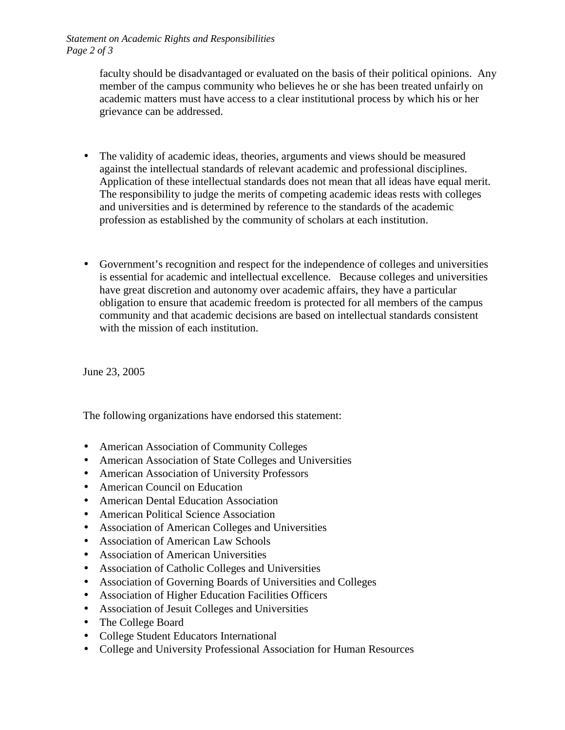*Statement on Academic Rights and Responsibilities Page 2 of 3* 

faculty should be disadvantaged or evaluated on the basis of their political opinions. Any member of the campus community who believes he or she has been treated unfairly on academic matters must have access to a clear institutional process by which his or her grievance can be addressed.

- • The validity of academic ideas, theories, arguments and views should be measured and universities and is determined by reference to the standards of the academic against the intellectual standards of relevant academic and professional disciplines. Application of these intellectual standards does not mean that all ideas have equal merit. The responsibility to judge the merits of competing academic ideas rests with colleges profession as established by the community of scholars at each institution.
- obligation to ensure that academic freedom is protected for all members of the campus community and that academic decisions are based on intellectual standards consistent • Government's recognition and respect for the independence of colleges and universities is essential for academic and intellectual excellence. Because colleges and universities have great discretion and autonomy over academic affairs, they have a particular with the mission of each institution.

June 23, 2005

The following organizations have endorsed this statement:

- American Association of Community Colleges
- American Association of State Colleges and Universities
- American Association of University Professors
- American Council on Education
- American Dental Education Association
- American Political Science Association
- Association of American Colleges and Universities
- Association of American Law Schools
- Association of American Universities
- Association of Catholic Colleges and Universities
- Association of Governing Boards of Universities and Colleges
- Association of Higher Education Facilities Officers
- Association of Jesuit Colleges and Universities
- The College Board
- College Student Educators International
- College and University Professional Association for Human Resources